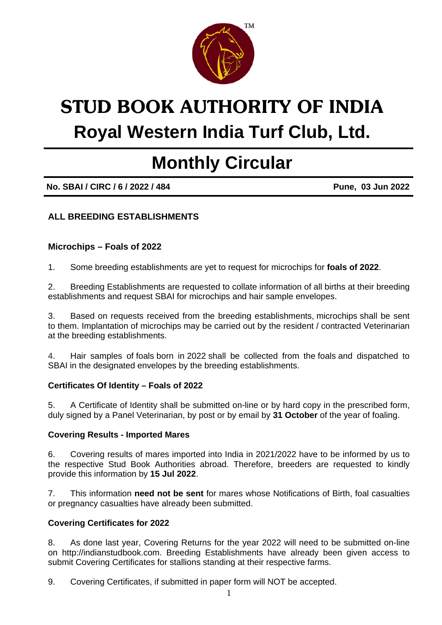

# STUD BOOK AUTHORITY OF INDIA

### **Royal Western India Turf Club, Ltd.**

## **Monthly Circular**

**No. SBAI / CIRC / 6 / 2022 / 484 Pune, 03 Jun 2022** 

#### **ALL BREEDING ESTABLISHMENTS**

#### **Microchips – Foals of 2022**

1. Some breeding establishments are yet to request for microchips for **foals of 2022**.

2. Breeding Establishments are requested to collate information of all births at their breeding establishments and request SBAI for microchips and hair sample envelopes.

3. Based on requests received from the breeding establishments, microchips shall be sent to them. Implantation of microchips may be carried out by the resident / contracted Veterinarian at the breeding establishments.

4. Hair samples of foals born in 2022 shall be collected from the foals and dispatched to SBAI in the designated envelopes by the breeding establishments.

#### **Certificates Of Identity – Foals of 2022**

5. A Certificate of Identity shall be submitted on-line or by hard copy in the prescribed form, duly signed by a Panel Veterinarian, by post or by email by **31 October** of the year of foaling.

#### **Covering Results - Imported Mares**

6. Covering results of mares imported into India in 2021/2022 have to be informed by us to the respective Stud Book Authorities abroad. Therefore, breeders are requested to kindly provide this information by **15 Jul 2022**.

7. This information **need not be sent** for mares whose Notifications of Birth, foal casualties or pregnancy casualties have already been submitted.

#### **Covering Certificates for 2022**

8. As done last year, Covering Returns for the year 2022 will need to be submitted on-line on http://indianstudbook.com. Breeding Establishments have already been given access to submit Covering Certificates for stallions standing at their respective farms.

9. Covering Certificates, if submitted in paper form will NOT be accepted.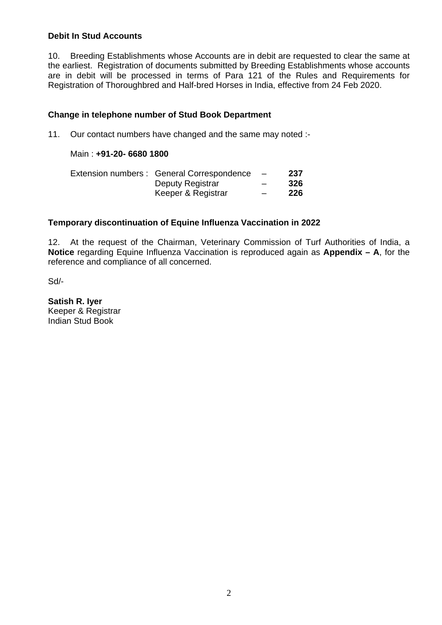#### **Debit In Stud Accounts**

10. Breeding Establishments whose Accounts are in debit are requested to clear the same at the earliest. Registration of documents submitted by Breeding Establishments whose accounts are in debit will be processed in terms of Para 121 of the Rules and Requirements for Registration of Thoroughbred and Half-bred Horses in India, effective from 24 Feb 2020.

#### **Change in telephone number of Stud Book Department**

11. Our contact numbers have changed and the same may noted :-

#### Main : **+91-20- 6680 1800**

| Extension numbers : General Correspondence | $\sim$ $-$               | 237 |
|--------------------------------------------|--------------------------|-----|
| Deputy Registrar                           | $\overline{\phantom{0}}$ | 326 |
| Keeper & Registrar                         | $\overline{\phantom{0}}$ | 226 |

#### **Temporary discontinuation of Equine Influenza Vaccination in 2022**

12. At the request of the Chairman, Veterinary Commission of Turf Authorities of India, a **Notice** regarding Equine Influenza Vaccination is reproduced again as **Appendix – A**, for the reference and compliance of all concerned.

Sd/-

**Satish R. Iyer**  Keeper & Registrar Indian Stud Book